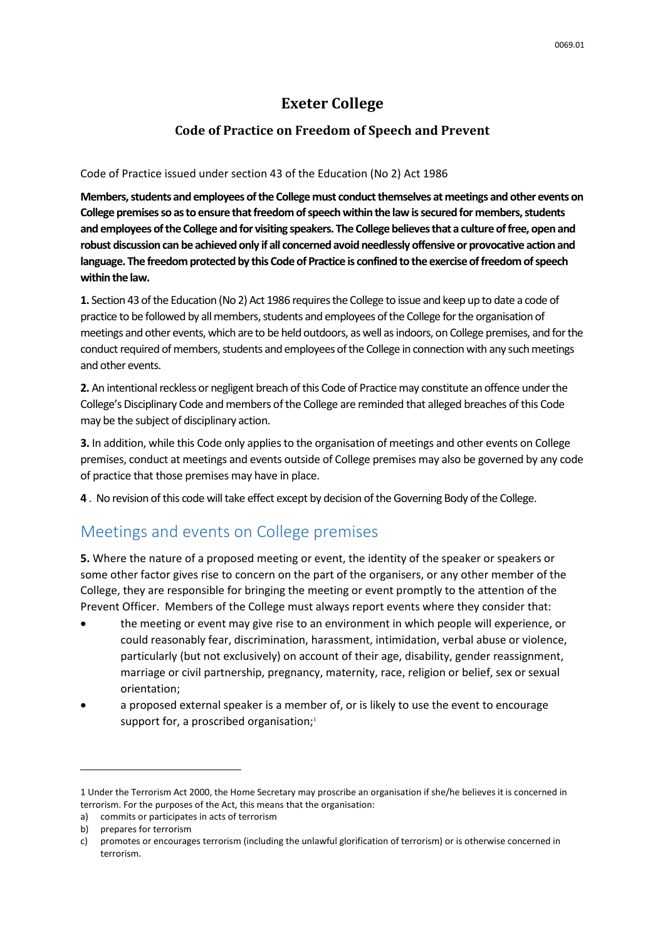#### **Exeter College**

#### **Code of Practice on Freedom of Speech and Prevent**

#### Code of Practice issued under section 43 of the Education (No 2) Act 1986

**Members, students and employees of the College must conduct themselves at meetings and other events on College premises so as to ensure that freedom of speech within the law is secured for members, students and employees of the College and for visiting speakers. The College believes that a culture of free, open and robust discussion can be achieved only if all concerned avoid needlessly offensive or provocative action and language. The freedom protected by this Code of Practice is confined to the exercise of freedom of speech within the law.**

**1.** Section 43 of the Education (No 2) Act 1986 requires the College to issue and keep up to date a code of practice to be followed by all members, students and employees of the College for the organisation of meetings and other events, which are to be held outdoors, as well as indoors, on College premises, and for the conduct required of members, students and employees of the College in connection with any such meetings and other events.

**2.** An intentional reckless or negligent breach of this Code of Practice may constitute an offence under the College's Disciplinary Code and members of the College are reminded that alleged breaches of this Code may be the subject of disciplinary action.

**3.** In addition, while this Code only applies to the organisation of meetings and other events on College premises, conduct at meetings and events outside of College premises may also be governed by any code of practice that those premises may have in place.

**4** . No revision of this code will take effect except by decision of the Governing Body of the College.

#### Meetings and events on College premises

**5.** Where the nature of a proposed meeting or event, the identity of the speaker or speakers or some other factor gives rise to concern on the part of the organisers, or any other member of the College, they are responsible for bringing the meeting or event promptly to the attention of the Prevent Officer. Members of the College must always report events where they consider that:

- the meeting or event may give rise to an environment in which people will experience, or could reasonably fear, discrimination, harassment, intimidation, verbal abuse or violence, particularly (but not exclusively) on account of their age, disability, gender reassignment, marriage or civil partnership, pregnancy, maternity, race, religion or belief, sex or sexual orientation;
- a proposed external speaker is a member of, or is likely to use the event to encourage support for, a proscribed organisation;<sup>1</sup>

1

<sup>1</sup> Under the Terrorism Act 2000, the Home Secretary may proscribe an organisation if she/he believes it is concerned in terrorism. For the purposes of the Act, this means that the organisation:

a) commits or participates in acts of terrorism

b) prepares for terrorism

c) promotes or encourages terrorism (including the unlawful glorification of terrorism) or is otherwise concerned in terrorism.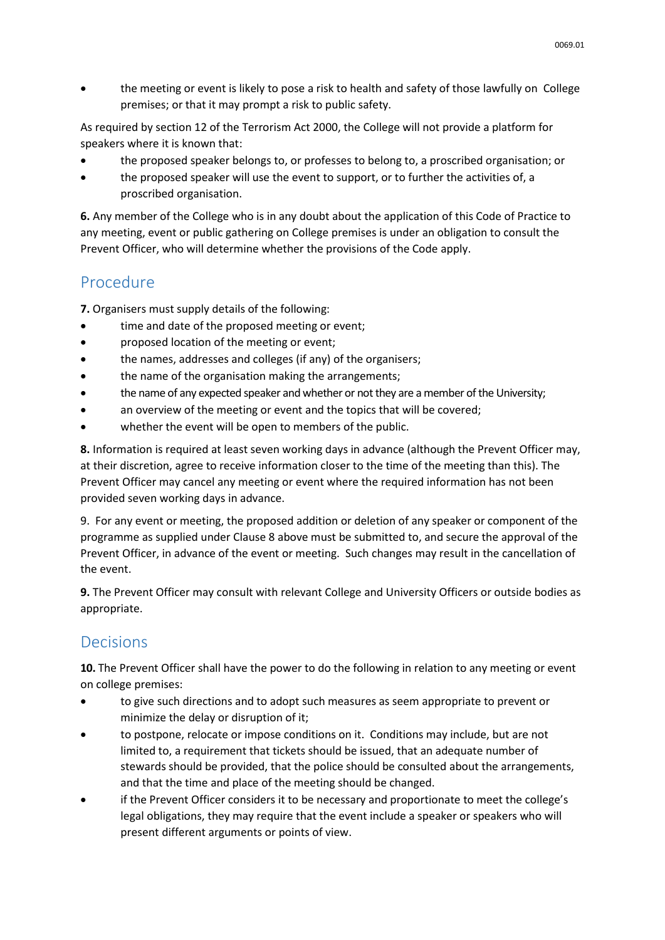the meeting or event is likely to pose a risk to health and safety of those lawfully on College premises; or that it may prompt a risk to public safety.

As required by section 12 of the Terrorism Act 2000, the College will not provide a platform for speakers where it is known that:

- the proposed speaker belongs to, or professes to belong to, a proscribed organisation; or
- the proposed speaker will use the event to support, or to further the activities of, a proscribed organisation.

**6.** Any member of the College who is in any doubt about the application of this Code of Practice to any meeting, event or public gathering on College premises is under an obligation to consult the Prevent Officer, who will determine whether the provisions of the Code apply.

### Procedure

**7.** Organisers must supply details of the following:

- time and date of the proposed meeting or event;
- proposed location of the meeting or event;
- the names, addresses and colleges (if any) of the organisers;
- the name of the organisation making the arrangements;
- the name of any expected speaker and whether or not they are a member of the University;
- an overview of the meeting or event and the topics that will be covered;
- whether the event will be open to members of the public.

**8.** Information is required at least seven working days in advance (although the Prevent Officer may, at their discretion, agree to receive information closer to the time of the meeting than this). The Prevent Officer may cancel any meeting or event where the required information has not been provided seven working days in advance.

9. For any event or meeting, the proposed addition or deletion of any speaker or component of the programme as supplied under Clause 8 above must be submitted to, and secure the approval of the Prevent Officer, in advance of the event or meeting. Such changes may result in the cancellation of the event.

**9.** The Prevent Officer may consult with relevant College and University Officers or outside bodies as appropriate.

## Decisions

**10.** The Prevent Officer shall have the power to do the following in relation to any meeting or event on college premises:

- to give such directions and to adopt such measures as seem appropriate to prevent or minimize the delay or disruption of it;
- to postpone, relocate or impose conditions on it. Conditions may include, but are not limited to, a requirement that tickets should be issued, that an adequate number of stewards should be provided, that the police should be consulted about the arrangements, and that the time and place of the meeting should be changed.
- if the Prevent Officer considers it to be necessary and proportionate to meet the college's legal obligations, they may require that the event include a speaker or speakers who will present different arguments or points of view.